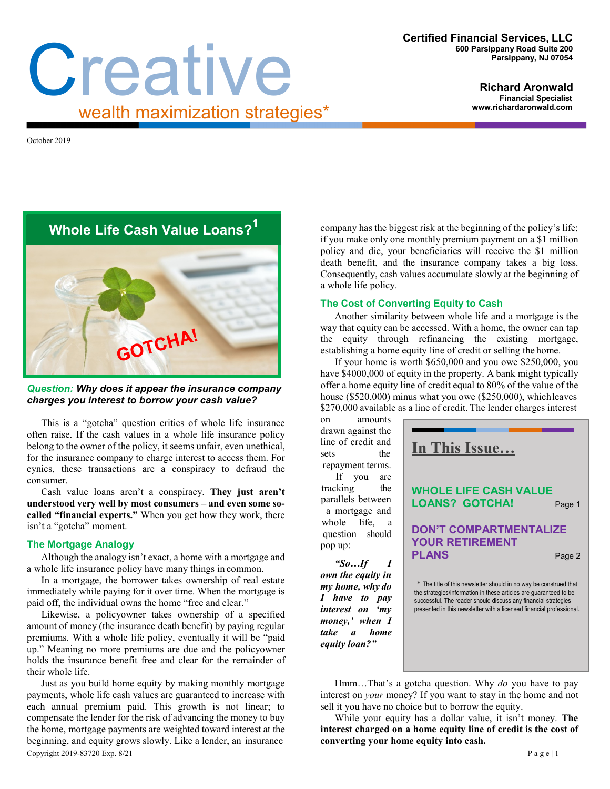# Creative wealth maximization strategies\*

**Richard Aronwald Financial Specialis[t](http://www.richardaronwald.com/) [www.richardaronwald.com](http://www.richardaronwald.com/)**

October 2019

**Whole Life Cash Value Loans?1**

# *Question: Why does it appear the insurance company charges you interest to borrow your cash value?*

This is a "gotcha" question critics of whole life insurance often raise. If the cash values in a whole life insurance policy belong to the owner of the policy, it seems unfair, even unethical, for the insurance company to charge interest to access them. For cynics, these transactions are a conspiracy to defraud the consumer.

Cash value loans aren't a conspiracy. **They just aren't understood very well by most consumers – and even some socalled "financial experts."** When you get how they work, there isn't a "gotcha" moment.

## **The Mortgage Analogy**

Although the analogy isn't exact, a home with a mortgage and a whole life insurance policy have many things in common.

In a mortgage, the borrower takes ownership of real estate immediately while paying for it over time. When the mortgage is paid off, the individual owns the home "free and clear."

Likewise, a policyowner takes ownership of a specified amount of money (the insurance death benefit) by paying regular premiums. With a whole life policy, eventually it will be "paid up." Meaning no more premiums are due and the policyowner holds the insurance benefit free and clear for the remainder of their whole life.

Copyright 2019-83720 Exp. 8/21 P a g e | 1 Just as you build home equity by making monthly mortgage payments, whole life cash values are guaranteed to increase with each annual premium paid. This growth is not linear; to compensate the lender for the risk of advancing the money to buy the home, mortgage payments are weighted toward interest at the beginning, and equity grows slowly. Like a lender, an insurance

company has the biggest risk at the beginning of the policy's life; if you make only one monthly premium payment on a \$1 million policy and die, your beneficiaries will receive the \$1 million death benefit, and the insurance company takes a big loss. Consequently, cash values accumulate slowly at the beginning of a whole life policy.

#### **The Cost of Converting Equity to Cash**

Another similarity between whole life and a mortgage is the way that equity can be accessed. With a home, the owner can tap the equity through refinancing the existing mortgage, establishing a home equity line of credit or selling the home.

If your home is worth \$650,000 and you owe \$250,000, you have \$4000,000 of equity in the property. A bank might typically offer a home equity line of credit equal to 80% of the value of the house (\$520,000) minus what you owe (\$250,000), whichleaves \$270,000 available as a line of credit. The lender charges interest

on amounts drawn against the line of credit and sets the repayment terms.

If you are tracking the parallels between a mortgage and whole life, a question should pop up:

*"So…If I own the equity in my home, why do I have to pay interest on 'my money,' when I take a home equity loan?"*

**In This Issue…**

**WHOLE LIFE CASH VALUE LOANS? GOTCHA!** Page 1

## **DON'T COMPARTMENTALIZE YOUR RETIREMENT PLANS** Page 2

\* The title of this newsletter should in no way be construed that the strategies/information in these articles are guaranteed to be successful. The reader should discuss any financial strategies presented in this newsletter with a licensed financial professional.

Hmm…That's a gotcha question. Why *do* you have to pay interest on *your* money? If you want to stay in the home and not sell it you have no choice but to borrow the equity.

While your equity has a dollar value, it isn't money. **The interest charged on a home equity line of credit is the cost of converting your home equity into cash.**

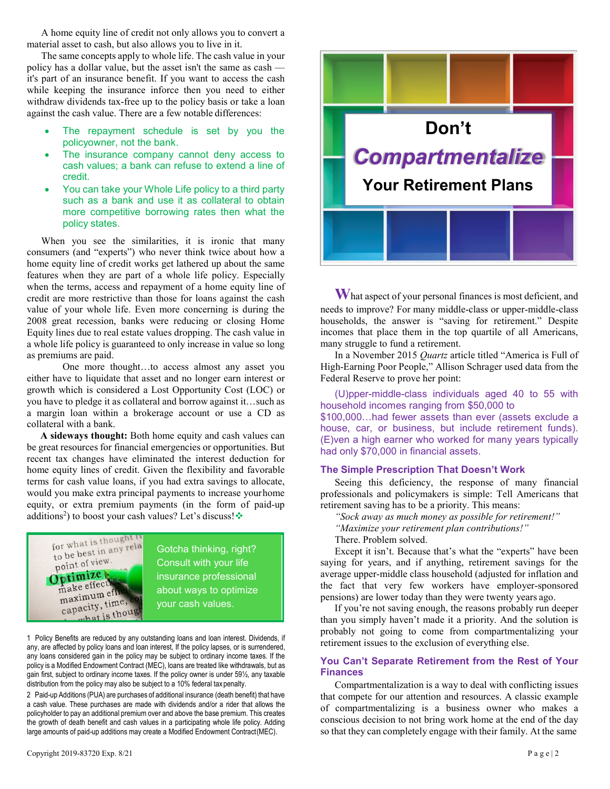A home equity line of credit not only allows you to convert a material asset to cash, but also allows you to live in it.

The same concepts apply to whole life. The cash value in your policy has a dollar value, but the asset isn't the same as cash it's part of an insurance benefit. If you want to access the cash while keeping the insurance inforce then you need to either withdraw dividends tax-free up to the policy basis or take a loan against the cash value. There are a few notable differences:

- The repayment schedule is set by you the policyowner, not the bank.
- The insurance company cannot deny access to cash values; a bank can refuse to extend a line of credit.
- You can take your Whole Life policy to a third party such as a bank and use it as collateral to obtain more competitive borrowing rates then what the policy states.

When you see the similarities, it is ironic that many consumers (and "experts") who never think twice about how a home equity line of credit works get lathered up about the same features when they are part of a whole life policy. Especially when the terms, access and repayment of a home equity line of credit are more restrictive than those for loans against the cash value of your whole life. Even more concerning is during the 2008 great recession, banks were reducing or closing Home Equity lines due to real estate values dropping. The cash value in a whole life policy is guaranteed to only increase in value so long as premiums are paid.

One more thought…to access almost any asset you either have to liquidate that asset and no longer earn interest or growth which is considered a Lost Opportunity Cost (LOC) or you have to pledge it as collateral and borrow against it…such as a margin loan within a brokerage account or use a CD as collateral with a bank.

**A sideways thought:** Both home equity and cash values can be great resources for financial emergencies or opportunities. But recent tax changes have eliminated the interest deduction for home equity lines of credit. Given the flexibility and favorable terms for cash value loans, if you had extra savings to allocate, would you make extra principal payments to increase yourhome equity, or extra premium payments (in the form of paid-up additions<sup>2</sup>) to boost your cash values? Let's discuss!



1 Policy Benefits are reduced by any outstanding loans and loan interest. Dividends, if any, are affected by policy loans and loan interest, If the policy lapses, or is surrendered, any loans considered gain in the policy may be subject to ordinary income taxes. If the policy is a Modified Endowment Contract (MEC), loans are treated like withdrawals, but as gain first, subject to ordinary income taxes. If the policy owner is under 59½, any taxable distribution from the policy may also be subject to a 10% federal taxpenalty.

2 Paid-up Additions (PUA) are purchases of additional insurance (death benefit) that have a cash value. These purchases are made with dividends and/or a rider that allows the policyholder to pay an additional premium over and above the base premium. This creates the growth of death benefit and cash values in a participating whole life policy. Adding large amounts of paid-up additions may create a Modified Endowment Contract(MEC).



What aspect of your personal finances is most deficient, and needs to improve? For many middle-class or upper-middle-class households, the answer is "saving for retirement." Despite incomes that place them in the top quartile of all Americans, many struggle to fund a retirement.

In a November 2015 *Quartz* article titled "America is Full of High-Earning Poor People," Allison Schrager used data from the Federal Reserve to prove her point:

(U)pper-middle-class individuals aged 40 to 55 with household incomes ranging from \$50,000 to

\$100,000…had fewer assets than ever (assets exclude a house, car, or business, but include retirement funds). (E)ven a high earner who worked for many years typically had only \$70,000 in financial assets.

## **The Simple Prescription That Doesn't Work**

Seeing this deficiency, the response of many financial professionals and policymakers is simple: Tell Americans that retirement saving has to be a priority. This means:

*"Sock away as much money as possible for retirement!"* 

*"Maximize your retirement plan contributions!"*

There. Problem solved.

Except it isn't. Because that's what the "experts" have been saying for years, and if anything, retirement savings for the average upper-middle class household (adjusted for inflation and the fact that very few workers have employer-sponsored pensions) are lower today than they were twenty years ago.

If you're not saving enough, the reasons probably run deeper than you simply haven't made it a priority. And the solution is probably not going to come from compartmentalizing your retirement issues to the exclusion of everything else.

## **You Can't Separate Retirement from the Rest of Your Finances**

Compartmentalization is a way to deal with conflicting issues that compete for our attention and resources. A classic example of compartmentalizing is a business owner who makes a conscious decision to not bring work home at the end of the day so that they can completely engage with their family. At the same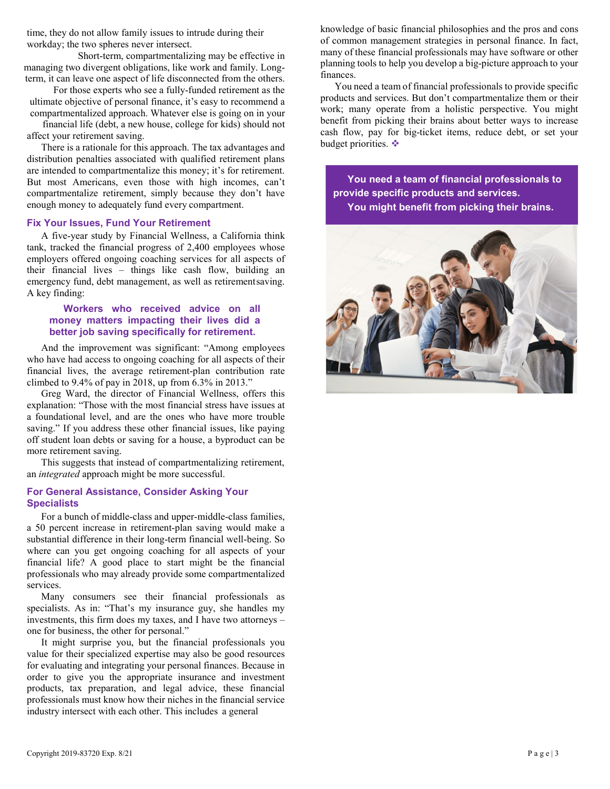time, they do not allow family issues to intrude during their workday; the two spheres never intersect.

Short-term, compartmentalizing may be effective in managing two divergent obligations, like work and family. Longterm, it can leave one aspect of life disconnected from the others.

For those experts who see a fully-funded retirement as the ultimate objective of personal finance, it's easy to recommend a compartmentalized approach. Whatever else is going on in your

financial life (debt, a new house, college for kids) should not affect your retirement saving.

There is a rationale for this approach. The tax advantages and distribution penalties associated with qualified retirement plans are intended to compartmentalize this money; it's for retirement. But most Americans, even those with high incomes, can't compartmentalize retirement, simply because they don't have enough money to adequately fund every compartment.

#### **Fix Your Issues, Fund Your Retirement**

A five-year study by Financial Wellness, a California think tank, tracked the financial progress of 2,400 employees whose employers offered ongoing coaching services for all aspects of their financial lives – things like cash flow, building an emergency fund, debt management, as well as retirementsaving. A key finding:

#### **Workers who received advice on all money matters impacting their lives did a better job saving specifically for retirement.**

And the improvement was significant: "Among employees who have had access to ongoing coaching for all aspects of their financial lives, the average retirement-plan contribution rate climbed to 9.4% of pay in 2018, up from 6.3% in 2013."

Greg Ward, the director of Financial Wellness, offers this explanation: "Those with the most financial stress have issues at a foundational level, and are the ones who have more trouble saving." If you address these other financial issues, like paying off student loan debts or saving for a house, a byproduct can be more retirement saving.

This suggests that instead of compartmentalizing retirement, an *integrated* approach might be more successful.

## **For General Assistance, Consider Asking Your Specialists**

For a bunch of middle-class and upper-middle-class families, a 50 percent increase in retirement-plan saving would make a substantial difference in their long-term financial well-being. So where can you get ongoing coaching for all aspects of your financial life? A good place to start might be the financial professionals who may already provide some compartmentalized services.

Many consumers see their financial professionals as specialists. As in: "That's my insurance guy, she handles my investments, this firm does my taxes, and I have two attorneys – one for business, the other for personal."

It might surprise you, but the financial professionals you value for their specialized expertise may also be good resources for evaluating and integrating your personal finances. Because in order to give you the appropriate insurance and investment products, tax preparation, and legal advice, these financial professionals must know how their niches in the financial service industry intersect with each other. This includes a general

knowledge of basic financial philosophies and the pros and cons of common management strategies in personal finance. In fact, many of these financial professionals may have software or other planning tools to help you develop a big-picture approach to your finances.

You need a team of financial professionals to provide specific products and services. But don't compartmentalize them or their work; many operate from a holistic perspective. You might benefit from picking their brains about better ways to increase cash flow, pay for big-ticket items, reduce debt, or set your budget priorities.

**You need a team of financial professionals to provide specific products and services. You might benefit from picking their brains.**